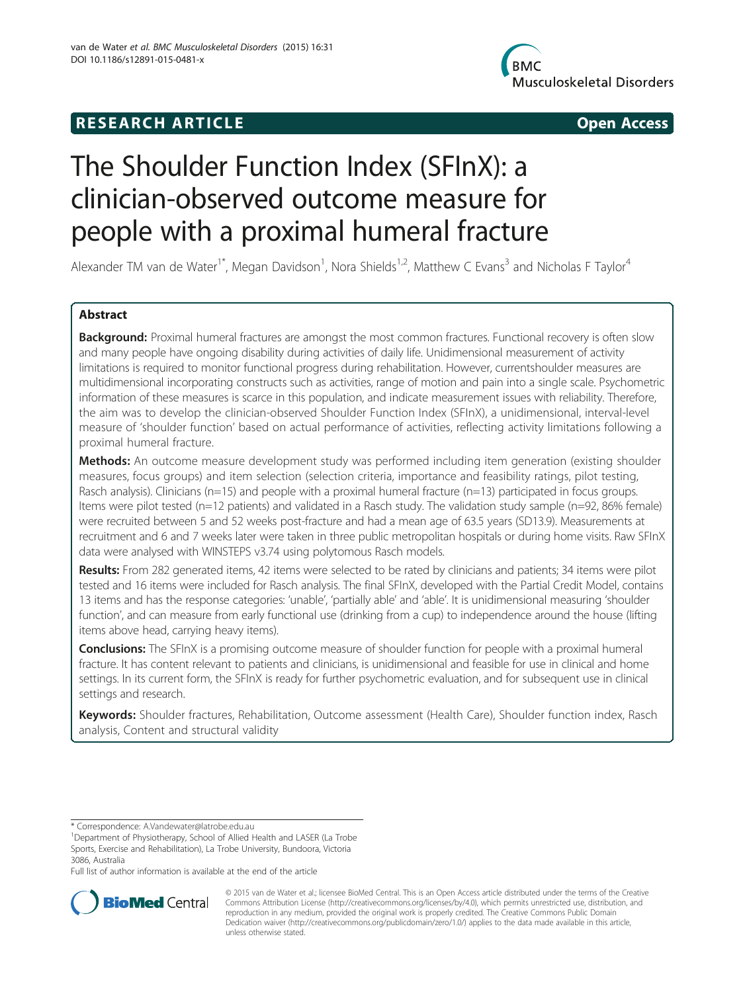# **RESEARCH ARTICLE Example 2014 The SEAR CH ACCESS**



# The Shoulder Function Index (SFInX): a clinician-observed outcome measure for people with a proximal humeral fracture

Alexander TM van de Water<sup>1\*</sup>, Megan Davidson<sup>1</sup>, Nora Shields<sup>1,2</sup>, Matthew C Evans<sup>3</sup> and Nicholas F Taylor<sup>4</sup>

# Abstract

Background: Proximal humeral fractures are amongst the most common fractures. Functional recovery is often slow and many people have ongoing disability during activities of daily life. Unidimensional measurement of activity limitations is required to monitor functional progress during rehabilitation. However, currentshoulder measures are multidimensional incorporating constructs such as activities, range of motion and pain into a single scale. Psychometric information of these measures is scarce in this population, and indicate measurement issues with reliability. Therefore, the aim was to develop the clinician-observed Shoulder Function Index (SFInX), a unidimensional, interval-level measure of 'shoulder function' based on actual performance of activities, reflecting activity limitations following a proximal humeral fracture.

Methods: An outcome measure development study was performed including item generation (existing shoulder measures, focus groups) and item selection (selection criteria, importance and feasibility ratings, pilot testing, Rasch analysis). Clinicians (n=15) and people with a proximal humeral fracture (n=13) participated in focus groups. Items were pilot tested (n=12 patients) and validated in a Rasch study. The validation study sample (n=92, 86% female) were recruited between 5 and 52 weeks post-fracture and had a mean age of 63.5 years (SD13.9). Measurements at recruitment and 6 and 7 weeks later were taken in three public metropolitan hospitals or during home visits. Raw SFInX data were analysed with WINSTEPS v3.74 using polytomous Rasch models.

Results: From 282 generated items, 42 items were selected to be rated by clinicians and patients; 34 items were pilot tested and 16 items were included for Rasch analysis. The final SFInX, developed with the Partial Credit Model, contains 13 items and has the response categories: 'unable', 'partially able' and 'able'. It is unidimensional measuring 'shoulder function', and can measure from early functional use (drinking from a cup) to independence around the house (lifting items above head, carrying heavy items).

**Conclusions:** The SFInX is a promising outcome measure of shoulder function for people with a proximal humeral fracture. It has content relevant to patients and clinicians, is unidimensional and feasible for use in clinical and home settings. In its current form, the SFInX is ready for further psychometric evaluation, and for subsequent use in clinical settings and research.

Keywords: Shoulder fractures, Rehabilitation, Outcome assessment (Health Care), Shoulder function index, Rasch analysis, Content and structural validity

\* Correspondence: [A.Vandewater@latrobe.edu.au](mailto:A.Vandewater@latrobe.edu.au) <sup>1</sup>

Full list of author information is available at the end of the article



© 2015 van de Water et al.; licensee BioMed Central. This is an Open Access article distributed under the terms of the Creative Commons Attribution License [\(http://creativecommons.org/licenses/by/4.0\)](http://creativecommons.org/licenses/by/4.0), which permits unrestricted use, distribution, and reproduction in any medium, provided the original work is properly credited. The Creative Commons Public Domain Dedication waiver [\(http://creativecommons.org/publicdomain/zero/1.0/](http://creativecommons.org/publicdomain/zero/1.0/)) applies to the data made available in this article, unless otherwise stated.

Department of Physiotherapy, School of Allied Health and LASER (La Trobe Sports, Exercise and Rehabilitation), La Trobe University, Bundoora, Victoria 3086, Australia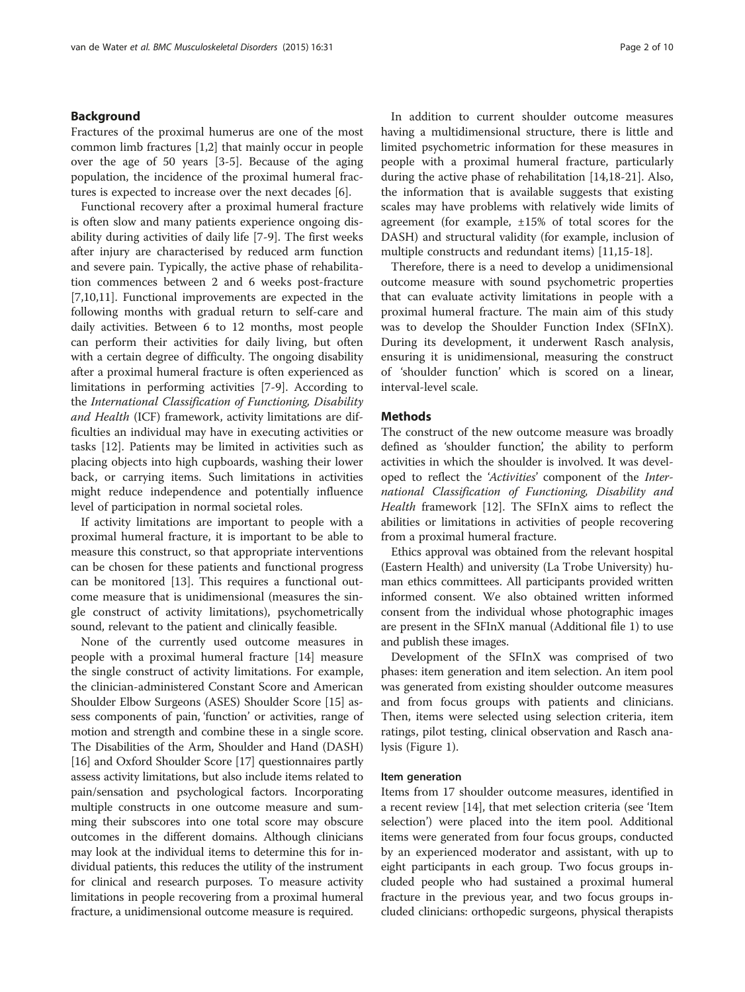#### Background

Fractures of the proximal humerus are one of the most common limb fractures [\[1,2](#page-9-0)] that mainly occur in people over the age of 50 years [[3-5](#page-9-0)]. Because of the aging population, the incidence of the proximal humeral fractures is expected to increase over the next decades [[6\]](#page-9-0).

Functional recovery after a proximal humeral fracture is often slow and many patients experience ongoing disability during activities of daily life [[7-9\]](#page-9-0). The first weeks after injury are characterised by reduced arm function and severe pain. Typically, the active phase of rehabilitation commences between 2 and 6 weeks post-fracture [[7,10,11\]](#page-9-0). Functional improvements are expected in the following months with gradual return to self-care and daily activities. Between 6 to 12 months, most people can perform their activities for daily living, but often with a certain degree of difficulty. The ongoing disability after a proximal humeral fracture is often experienced as limitations in performing activities [[7-9](#page-9-0)]. According to the International Classification of Functioning, Disability and Health (ICF) framework, activity limitations are difficulties an individual may have in executing activities or tasks [\[12](#page-9-0)]. Patients may be limited in activities such as placing objects into high cupboards, washing their lower back, or carrying items. Such limitations in activities might reduce independence and potentially influence level of participation in normal societal roles.

If activity limitations are important to people with a proximal humeral fracture, it is important to be able to measure this construct, so that appropriate interventions can be chosen for these patients and functional progress can be monitored [[13](#page-9-0)]. This requires a functional outcome measure that is unidimensional (measures the single construct of activity limitations), psychometrically sound, relevant to the patient and clinically feasible.

None of the currently used outcome measures in people with a proximal humeral fracture [[14\]](#page-9-0) measure the single construct of activity limitations. For example, the clinician-administered Constant Score and American Shoulder Elbow Surgeons (ASES) Shoulder Score [[15\]](#page-9-0) assess components of pain, 'function' or activities, range of motion and strength and combine these in a single score. The Disabilities of the Arm, Shoulder and Hand (DASH) [[16](#page-9-0)] and Oxford Shoulder Score [\[17\]](#page-9-0) questionnaires partly assess activity limitations, but also include items related to pain/sensation and psychological factors. Incorporating multiple constructs in one outcome measure and summing their subscores into one total score may obscure outcomes in the different domains. Although clinicians may look at the individual items to determine this for individual patients, this reduces the utility of the instrument for clinical and research purposes. To measure activity limitations in people recovering from a proximal humeral fracture, a unidimensional outcome measure is required.

In addition to current shoulder outcome measures having a multidimensional structure, there is little and limited psychometric information for these measures in people with a proximal humeral fracture, particularly during the active phase of rehabilitation [[14](#page-9-0),[18](#page-9-0)-[21\]](#page-9-0). Also, the information that is available suggests that existing scales may have problems with relatively wide limits of agreement (for example, ±15% of total scores for the DASH) and structural validity (for example, inclusion of multiple constructs and redundant items) [\[11,15](#page-9-0)-[18\]](#page-9-0).

Therefore, there is a need to develop a unidimensional outcome measure with sound psychometric properties that can evaluate activity limitations in people with a proximal humeral fracture. The main aim of this study was to develop the Shoulder Function Index (SFInX). During its development, it underwent Rasch analysis, ensuring it is unidimensional, measuring the construct of 'shoulder function' which is scored on a linear, interval-level scale.

#### **Methods**

The construct of the new outcome measure was broadly defined as 'shoulder function', the ability to perform activities in which the shoulder is involved. It was developed to reflect the 'Activities' component of the International Classification of Functioning, Disability and Health framework [[12\]](#page-9-0). The SFInX aims to reflect the abilities or limitations in activities of people recovering from a proximal humeral fracture.

Ethics approval was obtained from the relevant hospital (Eastern Health) and university (La Trobe University) human ethics committees. All participants provided written informed consent. We also obtained written informed consent from the individual whose photographic images are present in the SFInX manual (Additional file [1](#page-8-0)) to use and publish these images.

Development of the SFInX was comprised of two phases: item generation and item selection. An item pool was generated from existing shoulder outcome measures and from focus groups with patients and clinicians. Then, items were selected using selection criteria, item ratings, pilot testing, clinical observation and Rasch analysis (Figure [1\)](#page-2-0).

#### Item generation

Items from 17 shoulder outcome measures, identified in a recent review [[14\]](#page-9-0), that met selection criteria (see '[Item](#page-2-0) [selection](#page-2-0)') were placed into the item pool. Additional items were generated from four focus groups, conducted by an experienced moderator and assistant, with up to eight participants in each group. Two focus groups included people who had sustained a proximal humeral fracture in the previous year, and two focus groups included clinicians: orthopedic surgeons, physical therapists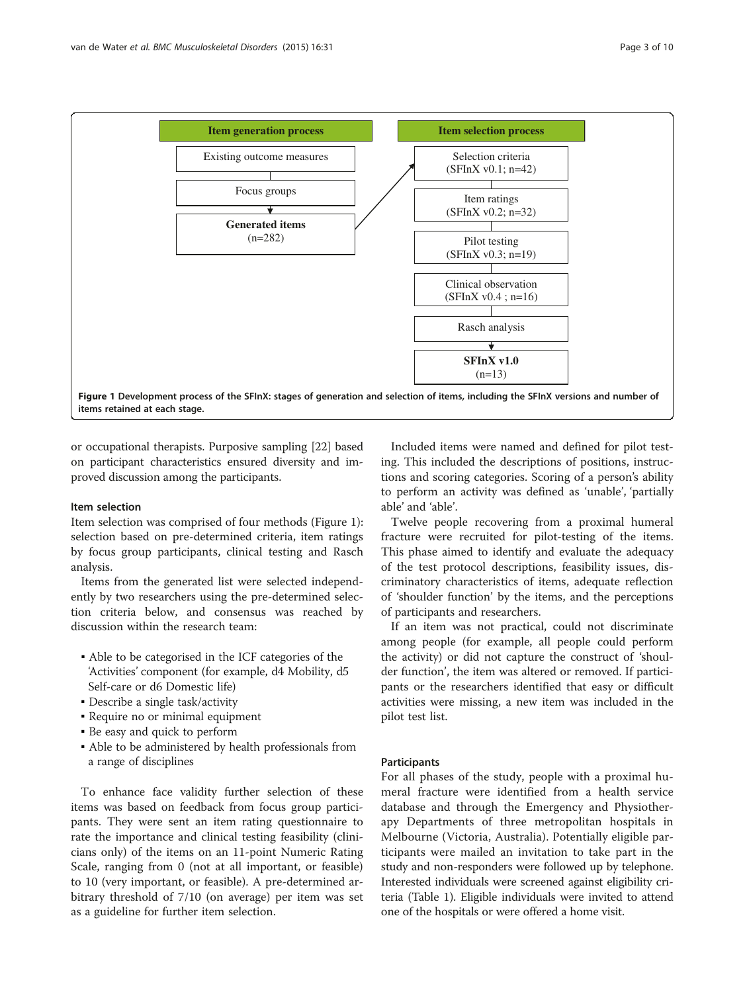<span id="page-2-0"></span>

or occupational therapists. Purposive sampling [[22\]](#page-9-0) based on participant characteristics ensured diversity and improved discussion among the participants.

#### Item selection

Item selection was comprised of four methods (Figure 1): selection based on pre-determined criteria, item ratings by focus group participants, clinical testing and Rasch analysis.

Items from the generated list were selected independently by two researchers using the pre-determined selection criteria below, and consensus was reached by discussion within the research team:

- Able to be categorised in the ICF categories of the 'Activities' component (for example, d4 Mobility, d5 Self-care or d6 Domestic life)
- Describe a single task/activity
- Require no or minimal equipment
- Be easy and quick to perform
- Able to be administered by health professionals from a range of disciplines

To enhance face validity further selection of these items was based on feedback from focus group participants. They were sent an item rating questionnaire to rate the importance and clinical testing feasibility (clinicians only) of the items on an 11-point Numeric Rating Scale, ranging from 0 (not at all important, or feasible) to 10 (very important, or feasible). A pre-determined arbitrary threshold of 7/10 (on average) per item was set as a guideline for further item selection.

Included items were named and defined for pilot testing. This included the descriptions of positions, instructions and scoring categories. Scoring of a person's ability to perform an activity was defined as 'unable', 'partially able' and 'able'.

Twelve people recovering from a proximal humeral fracture were recruited for pilot-testing of the items. This phase aimed to identify and evaluate the adequacy of the test protocol descriptions, feasibility issues, discriminatory characteristics of items, adequate reflection of 'shoulder function' by the items, and the perceptions of participants and researchers.

If an item was not practical, could not discriminate among people (for example, all people could perform the activity) or did not capture the construct of 'shoulder function', the item was altered or removed. If participants or the researchers identified that easy or difficult activities were missing, a new item was included in the pilot test list.

#### Participants

For all phases of the study, people with a proximal humeral fracture were identified from a health service database and through the Emergency and Physiotherapy Departments of three metropolitan hospitals in Melbourne (Victoria, Australia). Potentially eligible participants were mailed an invitation to take part in the study and non-responders were followed up by telephone. Interested individuals were screened against eligibility criteria (Table [1](#page-3-0)). Eligible individuals were invited to attend one of the hospitals or were offered a home visit.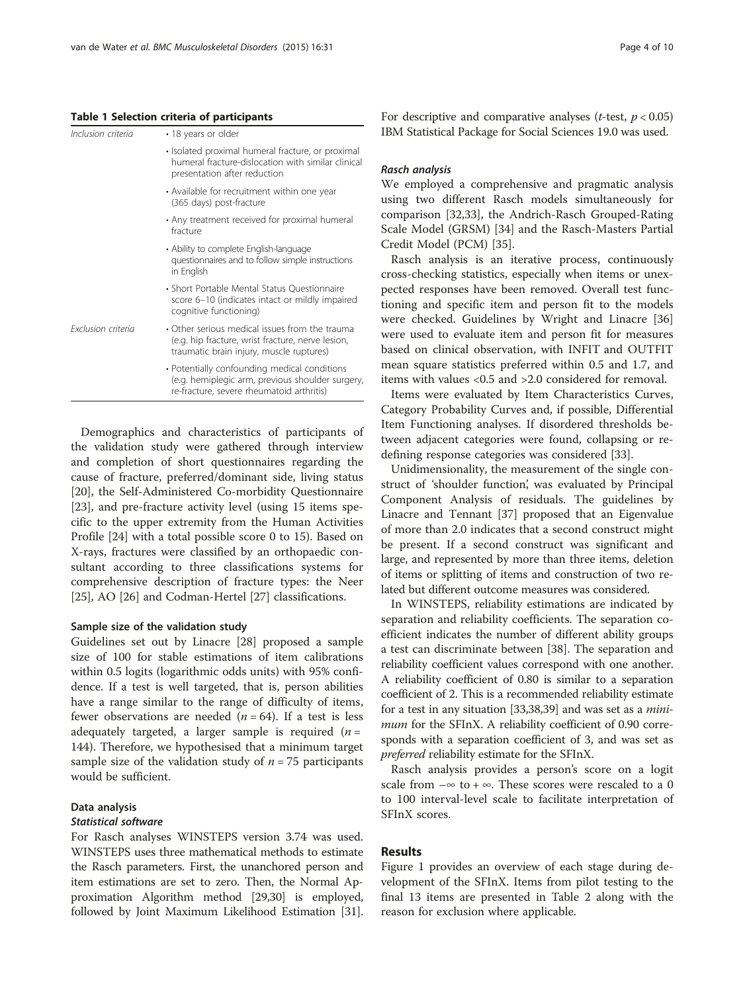#### <span id="page-3-0"></span>Table 1 Selection criteria of participants

| Inclusion criteria        | • 18 years or older                                                                                                                             |  |  |  |  |
|---------------------------|-------------------------------------------------------------------------------------------------------------------------------------------------|--|--|--|--|
|                           | • Isolated proximal humeral fracture, or proximal<br>humeral fracture-dislocation with similar clinical<br>presentation after reduction         |  |  |  |  |
|                           | • Available for recruitment within one year<br>(365 days) post-fracture                                                                         |  |  |  |  |
|                           | • Any treatment received for proximal humeral<br>fracture                                                                                       |  |  |  |  |
|                           | • Ability to complete English-language<br>questionnaires and to follow simple instructions<br>in English                                        |  |  |  |  |
|                           | • Short Portable Mental Status Questionnaire<br>score 6-10 (indicates intact or mildly impaired<br>cognitive functioning)                       |  |  |  |  |
| <b>Exclusion criteria</b> | • Other serious medical issues from the trauma<br>(e.g. hip fracture, wrist fracture, nerve lesion,<br>traumatic brain injury, muscle ruptures) |  |  |  |  |
|                           | • Potentially confounding medical conditions<br>(e.g. hemiplegic arm, previous shoulder surgery,<br>re-fracture, severe rheumatoid arthritis)   |  |  |  |  |

Demographics and characteristics of participants of the validation study were gathered through interview and completion of short questionnaires regarding the cause of fracture, preferred/dominant side, living status [[20\]](#page-9-0), the Self-Administered Co-morbidity Questionnaire [[23\]](#page-9-0), and pre-fracture activity level (using 15 items specific to the upper extremity from the Human Activities Profile [[24](#page-9-0)] with a total possible score 0 to 15). Based on X-rays, fractures were classified by an orthopaedic consultant according to three classifications systems for comprehensive description of fracture types: the Neer [[25\]](#page-9-0), AO [[26\]](#page-9-0) and Codman-Hertel [\[27\]](#page-9-0) classifications.

#### Sample size of the validation study

Guidelines set out by Linacre [\[28](#page-9-0)] proposed a sample size of 100 for stable estimations of item calibrations within 0.5 logits (logarithmic odds units) with 95% confidence. If a test is well targeted, that is, person abilities have a range similar to the range of difficulty of items, fewer observations are needed ( $n = 64$ ). If a test is less adequately targeted, a larger sample is required  $(n =$ 144). Therefore, we hypothesised that a minimum target sample size of the validation study of  $n = 75$  participants would be sufficient.

### Data analysis

#### Statistical software

For Rasch analyses WINSTEPS version 3.74 was used. WINSTEPS uses three mathematical methods to estimate the Rasch parameters. First, the unanchored person and item estimations are set to zero. Then, the Normal Approximation Algorithm method [\[29,30](#page-9-0)] is employed, followed by Joint Maximum Likelihood Estimation [[31](#page-9-0)]. For descriptive and comparative analyses (*t*-test,  $p < 0.05$ ) IBM Statistical Package for Social Sciences 19.0 was used.

#### Rasch analysis

We employed a comprehensive and pragmatic analysis using two different Rasch models simultaneously for comparison [[32](#page-9-0),[33](#page-9-0)], the Andrich-Rasch Grouped-Rating Scale Model (GRSM) [[34](#page-9-0)] and the Rasch-Masters Partial Credit Model (PCM) [\[35](#page-9-0)].

Rasch analysis is an iterative process, continuously cross-checking statistics, especially when items or unexpected responses have been removed. Overall test functioning and specific item and person fit to the models were checked. Guidelines by Wright and Linacre [[36](#page-9-0)] were used to evaluate item and person fit for measures based on clinical observation, with INFIT and OUTFIT mean square statistics preferred within 0.5 and 1.7, and items with values <0.5 and >2.0 considered for removal.

Items were evaluated by Item Characteristics Curves, Category Probability Curves and, if possible, Differential Item Functioning analyses. If disordered thresholds between adjacent categories were found, collapsing or redefining response categories was considered [[33](#page-9-0)].

Unidimensionality, the measurement of the single construct of 'shoulder function', was evaluated by Principal Component Analysis of residuals. The guidelines by Linacre and Tennant [[37\]](#page-9-0) proposed that an Eigenvalue of more than 2.0 indicates that a second construct might be present. If a second construct was significant and large, and represented by more than three items, deletion of items or splitting of items and construction of two related but different outcome measures was considered.

In WINSTEPS, reliability estimations are indicated by separation and reliability coefficients. The separation coefficient indicates the number of different ability groups a test can discriminate between [[38\]](#page-9-0). The separation and reliability coefficient values correspond with one another. A reliability coefficient of 0.80 is similar to a separation coefficient of 2. This is a recommended reliability estimate for a test in any situation [[33,38,39\]](#page-9-0) and was set as a minimum for the SFInX. A reliability coefficient of 0.90 corresponds with a separation coefficient of 3, and was set as preferred reliability estimate for the SFInX.

Rasch analysis provides a person's score on a logit scale from  $-\infty$  to  $+\infty$ . These scores were rescaled to a 0 to 100 interval-level scale to facilitate interpretation of SFInX scores.

#### Results

Figure [1](#page-2-0) provides an overview of each stage during development of the SFInX. Items from pilot testing to the final 13 items are presented in Table [2](#page-4-0) along with the reason for exclusion where applicable.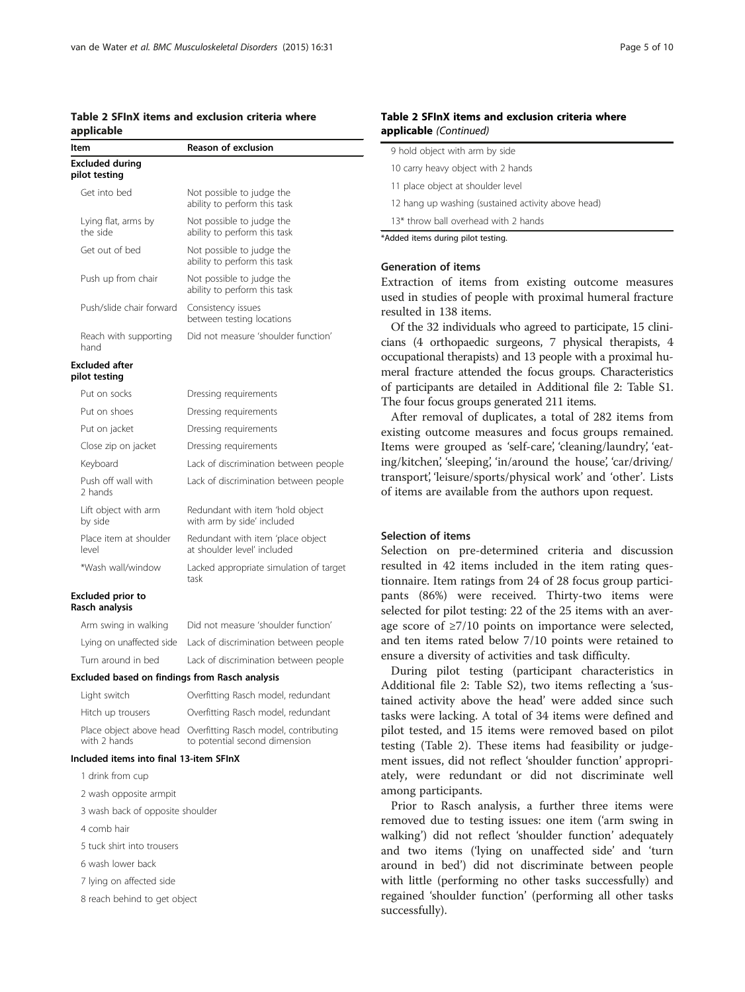<span id="page-4-0"></span>Table 2 SFInX items and exclusion criteria where applicable

| Item                                       | <b>Reason of exclusion</b>                                       |
|--------------------------------------------|------------------------------------------------------------------|
| <b>Excluded during</b><br>pilot testing    |                                                                  |
| Get into bed                               | Not possible to judge the<br>ability to perform this task        |
| Lying flat, arms by<br>the side            | Not possible to judge the<br>ability to perform this task        |
| Get out of bed                             | Not possible to judge the<br>ability to perform this task        |
| Push up from chair                         | Not possible to judge the<br>ability to perform this task        |
| Push/slide chair forward                   | Consistency issues<br>between testing locations                  |
| Reach with supporting<br>hand              | Did not measure 'shoulder function'                              |
| <b>Excluded after</b><br>pilot testing     |                                                                  |
| Put on socks                               | Dressing requirements                                            |
| Put on shoes                               | Dressing requirements                                            |
| Put on jacket                              | Dressing requirements                                            |
| Close zip on jacket                        | Dressing requirements                                            |
| Keyboard                                   | Lack of discrimination between people                            |
| Push off wall with<br>2 hands              | Lack of discrimination between people                            |
| Lift object with arm<br>by side            | Redundant with item 'hold object<br>with arm by side' included   |
| Place item at shoulder<br>level            | Redundant with item 'place object<br>at shoulder level' included |
| *Wash wall/window                          | Lacked appropriate simulation of target<br>task                  |
| <b>Excluded prior to</b><br>Rasch analysis |                                                                  |
| Arm swing in walking                       | Did not measure 'shoulder function'                              |

| Arm swing in walking                 | Did not m |
|--------------------------------------|-----------|
| Lying on unaffected side Lack of dis |           |

scrimination between people Turn around in bed Lack of discrimination between people

#### Excluded based on findings from Rasch analysis

| Light switch      | Overfitting Rasch model, redundant                                                             |
|-------------------|------------------------------------------------------------------------------------------------|
| Hitch up trousers | Overfitting Rasch model, redundant                                                             |
| with 2 hands      | Place object above head Overfitting Rasch model, contributing<br>to potential second dimension |

#### Included items into final 13-item SFInX

- 1 drink from cup
- 2 wash opposite armpit
- 3 wash back of opposite shoulder
- 4 comb hair
- 5 tuck shirt into trousers
- 6 wash lower back
- 7 lying on affected side
- 8 reach behind to get object

#### Table 2 SFInX items and exclusion criteria where applicable (Continued)

| *Added items during pilot testing. |                                                    |  |  |
|------------------------------------|----------------------------------------------------|--|--|
|                                    | 13* throw ball overhead with 2 hands               |  |  |
|                                    | 12 hang up washing (sustained activity above head) |  |  |
|                                    | 11 place object at shoulder level                  |  |  |
|                                    | 10 carry heavy object with 2 hands                 |  |  |
|                                    | 9 hold object with arm by side                     |  |  |

Generation of items

Extraction of items from existing outcome measures used in studies of people with proximal humeral fracture resulted in 138 items.

Of the 32 individuals who agreed to participate, 15 clinicians (4 orthopaedic surgeons, 7 physical therapists, 4 occupational therapists) and 13 people with a proximal humeral fracture attended the focus groups. Characteristics of participants are detailed in Additional file [2](#page-8-0): Table S1. The four focus groups generated 211 items.

After removal of duplicates, a total of 282 items from existing outcome measures and focus groups remained. Items were grouped as 'self-care', 'cleaning/laundry', 'eating/kitchen', 'sleeping', 'in/around the house', 'car/driving/ transport', 'leisure/sports/physical work' and 'other'. Lists of items are available from the authors upon request.

#### Selection of items

Selection on pre-determined criteria and discussion resulted in 42 items included in the item rating questionnaire. Item ratings from 24 of 28 focus group participants (86%) were received. Thirty-two items were selected for pilot testing: 22 of the 25 items with an average score of ≥7/10 points on importance were selected, and ten items rated below 7/10 points were retained to ensure a diversity of activities and task difficulty.

During pilot testing (participant characteristics in Additional file [2](#page-8-0): Table S2), two items reflecting a 'sustained activity above the head' were added since such tasks were lacking. A total of 34 items were defined and pilot tested, and 15 items were removed based on pilot testing (Table 2). These items had feasibility or judgement issues, did not reflect 'shoulder function' appropriately, were redundant or did not discriminate well among participants.

Prior to Rasch analysis, a further three items were removed due to testing issues: one item ('arm swing in walking') did not reflect 'shoulder function' adequately and two items ('lying on unaffected side' and 'turn around in bed') did not discriminate between people with little (performing no other tasks successfully) and regained 'shoulder function' (performing all other tasks successfully).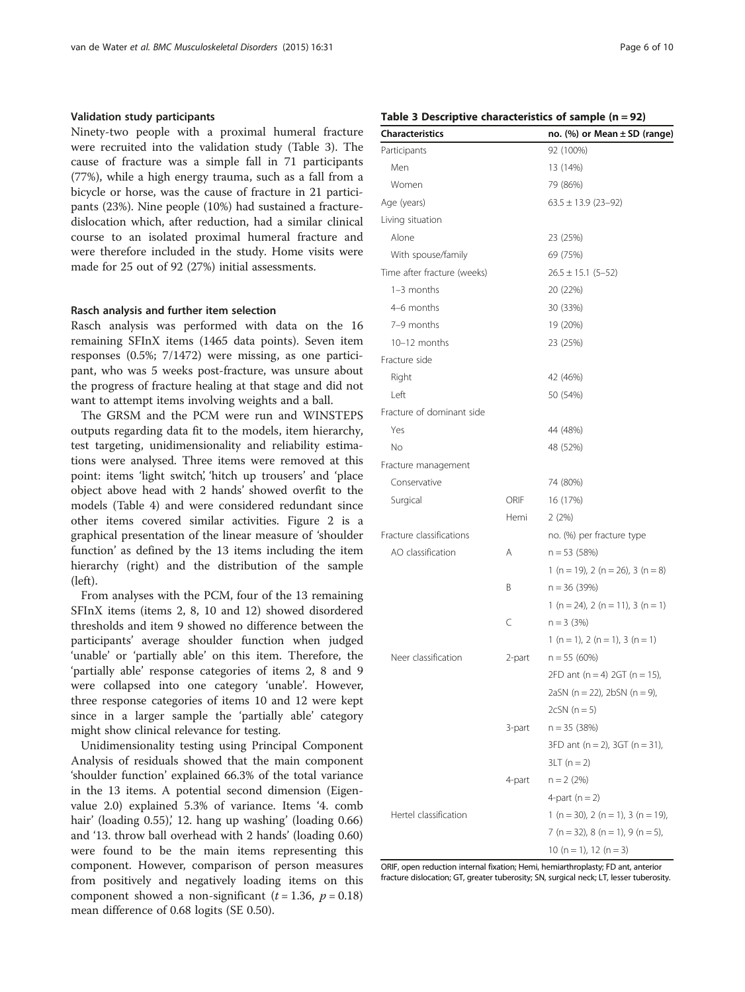#### Validation study participants

Ninety-two people with a proximal humeral fracture were recruited into the validation study (Table 3). The cause of fracture was a simple fall in 71 participants (77%), while a high energy trauma, such as a fall from a bicycle or horse, was the cause of fracture in 21 participants (23%). Nine people (10%) had sustained a fracturedislocation which, after reduction, had a similar clinical course to an isolated proximal humeral fracture and were therefore included in the study. Home visits were made for 25 out of 92 (27%) initial assessments.

#### Rasch analysis and further item selection

Rasch analysis was performed with data on the 16 remaining SFInX items (1465 data points). Seven item responses (0.5%; 7/1472) were missing, as one participant, who was 5 weeks post-fracture, was unsure about the progress of fracture healing at that stage and did not want to attempt items involving weights and a ball.

The GRSM and the PCM were run and WINSTEPS outputs regarding data fit to the models, item hierarchy, test targeting, unidimensionality and reliability estimations were analysed. Three items were removed at this point: items 'light switch', 'hitch up trousers' and 'place object above head with 2 hands' showed overfit to the models (Table [4\)](#page-6-0) and were considered redundant since other items covered similar activities. Figure [2](#page-6-0) is a graphical presentation of the linear measure of 'shoulder function' as defined by the 13 items including the item hierarchy (right) and the distribution of the sample (left).

From analyses with the PCM, four of the 13 remaining SFInX items (items 2, 8, 10 and 12) showed disordered thresholds and item 9 showed no difference between the participants' average shoulder function when judged 'unable' or 'partially able' on this item. Therefore, the 'partially able' response categories of items 2, 8 and 9 were collapsed into one category 'unable'. However, three response categories of items 10 and 12 were kept since in a larger sample the 'partially able' category might show clinical relevance for testing.

Unidimensionality testing using Principal Component Analysis of residuals showed that the main component 'shoulder function' explained 66.3% of the total variance in the 13 items. A potential second dimension (Eigenvalue 2.0) explained 5.3% of variance. Items '4. comb hair' (loading 0.55),' 12. hang up washing' (loading 0.66) and '13. throw ball overhead with 2 hands' (loading 0.60) were found to be the main items representing this component. However, comparison of person measures from positively and negatively loading items on this component showed a non-significant  $(t = 1.36, p = 0.18)$ mean difference of 0.68 logits (SE 0.50).

## Table 3 Descriptive characteristics of sample  $(n = 92)$

| <b>Characteristics</b>      |        | no. $(\%)$ or Mean $\pm$ SD (range)   |
|-----------------------------|--------|---------------------------------------|
| Participants                |        | 92 (100%)                             |
| Men                         |        | 13 (14%)                              |
| Women                       |        | 79 (86%)                              |
| Age (years)                 |        | $63.5 \pm 13.9$ (23-92)               |
| Living situation            |        |                                       |
| Alone                       |        | 23 (25%)                              |
| With spouse/family          |        | 69 (75%)                              |
| Time after fracture (weeks) |        | $26.5 \pm 15.1$ (5-52)                |
| 1-3 months                  |        | 20 (22%)                              |
| 4-6 months                  |        | 30 (33%)                              |
| 7-9 months                  |        | 19 (20%)                              |
| 10-12 months                |        | 23 (25%)                              |
| Fracture side               |        |                                       |
| Right                       |        | 42 (46%)                              |
| Left                        |        | 50 (54%)                              |
| Fracture of dominant side   |        |                                       |
| Yes                         |        | 44 (48%)                              |
| No                          |        | 48 (52%)                              |
| Fracture management         |        |                                       |
| Conservative                |        | 74 (80%)                              |
| Surgical                    | ORIF   | 16 (17%)                              |
|                             | Hemi   | 2(2%)                                 |
| Fracture classifications    |        | no. (%) per fracture type             |
| AO classification           | Α      | $n = 53(58%)$                         |
|                             |        | 1 (n = 19), 2 (n = 26), 3 (n = 8)     |
|                             | B      | $n = 36(39%)$                         |
|                             |        | $1 (n = 24), 2 (n = 11), 3 (n = 1)$   |
|                             | C      | $n = 3(3%)$                           |
|                             |        | $1 (n = 1), 2 (n = 1), 3 (n = 1)$     |
| Neer classification         | 2-part | $n = 55(60%)$                         |
|                             |        | 2FD ant ( $n = 4$ ) 2GT ( $n = 15$ ), |
|                             |        | $2aSN (n = 22)$ , $2bSN (n = 9)$ ,    |
|                             |        | $2cSN (n = 5)$                        |
|                             | 3-part | $n = 35 (38%)$                        |
|                             |        | $3FD$ ant (n = 2), $3GT$ (n = 31),    |
|                             |        | $3LT (n = 2)$                         |
|                             | 4-part | $n = 2(2%)$                           |
|                             |        | 4-part $(n = 2)$                      |
| Hertel classification       |        | 1 (n = 30), 2 (n = 1), 3 (n = 19),    |
|                             |        | 7 (n = 32), 8 (n = 1), 9 (n = 5),     |
|                             |        | 10 (n = 1), 12 (n = 3)                |

ORIF, open reduction internal fixation; Hemi, hemiarthroplasty; FD ant, anterior fracture dislocation; GT, greater tuberosity; SN, surgical neck; LT, lesser tuberosity.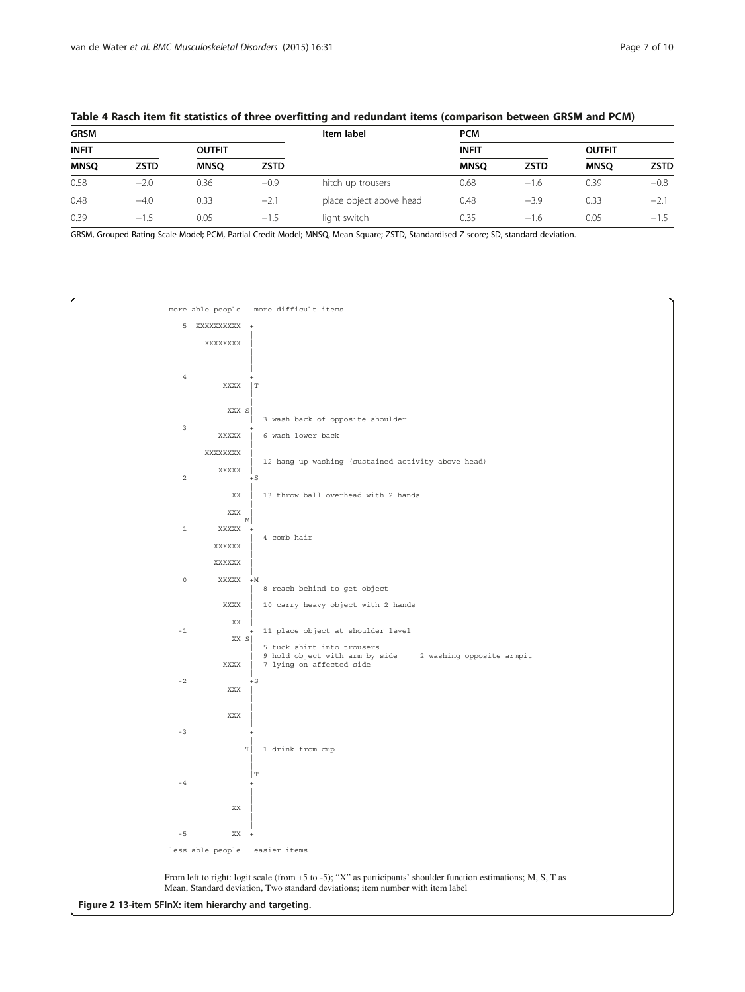| <b>GRSM</b>                   |             |             | Item label  | <b>PCM</b>              |             |               |             |             |
|-------------------------------|-------------|-------------|-------------|-------------------------|-------------|---------------|-------------|-------------|
| <b>INFIT</b><br><b>OUTFIT</b> |             |             |             | <b>INFIT</b>            |             | <b>OUTFIT</b> |             |             |
| <b>MNSQ</b>                   | <b>ZSTD</b> | <b>MNSO</b> | <b>ZSTD</b> |                         | <b>MNSO</b> | <b>ZSTD</b>   | <b>MNSO</b> | <b>ZSTD</b> |
| 0.58                          | $-2.0$      | 0.36        | $-0.9$      | hitch up trousers       | 0.68        | $-1.6$        | 0.39        | $-0.8$      |
| 0.48                          | $-4.0$      | 0.33        | $-2.1$      | place object above head | 0.48        | $-3.9$        | 0.33        | $-2.1$      |
| 0.39                          | $-1.5$      | 0.05        | $-1.5$      | light switch            | 0.35        | $-1.6$        | 0.05        | $-1.5$      |

<span id="page-6-0"></span>Table 4 Rasch item fit statistics of three overfitting and redundant items (comparison between GRSM and PCM)

GRSM, Grouped Rating Scale Model; PCM, Partial-Credit Model; MNSQ, Mean Square; ZSTD, Standardised Z-score; SD, standard deviation.

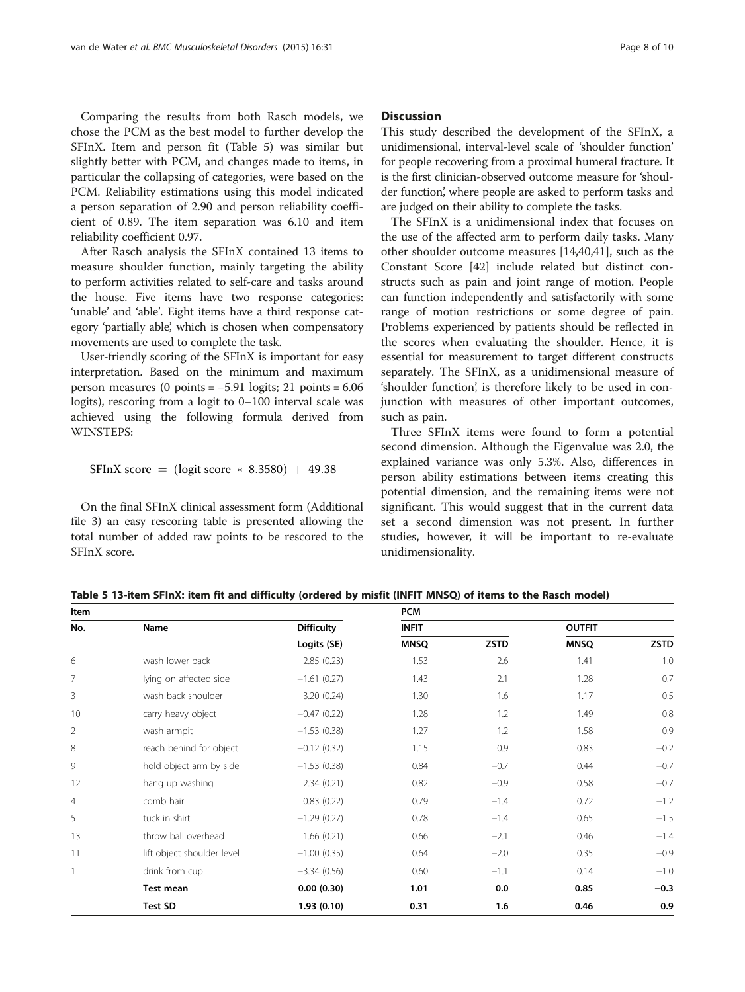Comparing the results from both Rasch models, we chose the PCM as the best model to further develop the SFInX. Item and person fit (Table 5) was similar but slightly better with PCM, and changes made to items, in particular the collapsing of categories, were based on the PCM. Reliability estimations using this model indicated a person separation of 2.90 and person reliability coefficient of 0.89. The item separation was 6.10 and item reliability coefficient 0.97.

After Rasch analysis the SFInX contained 13 items to measure shoulder function, mainly targeting the ability to perform activities related to self-care and tasks around the house. Five items have two response categories: 'unable' and 'able'. Eight items have a third response category 'partially able', which is chosen when compensatory movements are used to complete the task.

User-friendly scoring of the SFInX is important for easy interpretation. Based on the minimum and maximum person measures (0 points =  $-5.91$  logits; 21 points =  $6.06$ logits), rescoring from a logit to 0–100 interval scale was achieved using the following formula derived from WINSTEPS:

# SFInX score  $=$  (logit score  $*$  8.3580)  $+$  49.38

On the final SFInX clinical assessment form (Additional file [3](#page-8-0)) an easy rescoring table is presented allowing the total number of added raw points to be rescored to the SFInX score.

#### **Discussion**

This study described the development of the SFInX, a unidimensional, interval-level scale of 'shoulder function' for people recovering from a proximal humeral fracture. It is the first clinician-observed outcome measure for 'shoulder function', where people are asked to perform tasks and are judged on their ability to complete the tasks.

The SFInX is a unidimensional index that focuses on the use of the affected arm to perform daily tasks. Many other shoulder outcome measures [[14](#page-9-0),[40](#page-9-0),[41](#page-9-0)], such as the Constant Score [[42](#page-9-0)] include related but distinct constructs such as pain and joint range of motion. People can function independently and satisfactorily with some range of motion restrictions or some degree of pain. Problems experienced by patients should be reflected in the scores when evaluating the shoulder. Hence, it is essential for measurement to target different constructs separately. The SFInX, as a unidimensional measure of 'shoulder function', is therefore likely to be used in conjunction with measures of other important outcomes, such as pain.

Three SFInX items were found to form a potential second dimension. Although the Eigenvalue was 2.0, the explained variance was only 5.3%. Also, differences in person ability estimations between items creating this potential dimension, and the remaining items were not significant. This would suggest that in the current data set a second dimension was not present. In further studies, however, it will be important to re-evaluate unidimensionality.

Table 5 13-item SFInX: item fit and difficulty (ordered by misfit (INFIT MNSQ) of items to the Rasch model)

| Item           |                            |                   | <b>PCM</b>   |             |               |             |
|----------------|----------------------------|-------------------|--------------|-------------|---------------|-------------|
| No.            | Name                       | <b>Difficulty</b> | <b>INFIT</b> |             | <b>OUTFIT</b> |             |
|                |                            | Logits (SE)       | <b>MNSQ</b>  | <b>ZSTD</b> | <b>MNSQ</b>   | <b>ZSTD</b> |
| 6              | wash lower back            | 2.85(0.23)        | 1.53         | 2.6         | 1.41          | 1.0         |
| $\overline{7}$ | lying on affected side     | $-1.61(0.27)$     | 1.43         | 2.1         | 1.28          | 0.7         |
| 3              | wash back shoulder         | 3.20(0.24)        | 1.30         | 1.6         | 1.17          | 0.5         |
| 10             | carry heavy object         | $-0.47(0.22)$     | 1.28         | 1.2         | 1.49          | 0.8         |
| $\overline{2}$ | wash armpit                | $-1.53(0.38)$     | 1.27         | 1.2         | 1.58          | 0.9         |
| 8              | reach behind for object    | $-0.12(0.32)$     | 1.15         | 0.9         | 0.83          | $-0.2$      |
| 9              | hold object arm by side    | $-1.53(0.38)$     | 0.84         | $-0.7$      | 0.44          | $-0.7$      |
| 12             | hang up washing            | 2.34(0.21)        | 0.82         | $-0.9$      | 0.58          | $-0.7$      |
| 4              | comb hair                  | 0.83(0.22)        | 0.79         | $-1.4$      | 0.72          | $-1.2$      |
| 5              | tuck in shirt              | $-1.29(0.27)$     | 0.78         | $-1.4$      | 0.65          | $-1.5$      |
| 13             | throw ball overhead        | 1.66(0.21)        | 0.66         | $-2.1$      | 0.46          | $-1.4$      |
| 11             | lift object shoulder level | $-1.00(0.35)$     | 0.64         | $-2.0$      | 0.35          | $-0.9$      |
| $\mathbf{1}$   | drink from cup             | $-3.34(0.56)$     | 0.60         | $-1.1$      | 0.14          | $-1.0$      |
|                | <b>Test mean</b>           | 0.00(0.30)        | 1.01         | 0.0         | 0.85          | $-0.3$      |
|                | <b>Test SD</b>             | 1.93(0.10)        | 0.31         | 1.6         | 0.46          | 0.9         |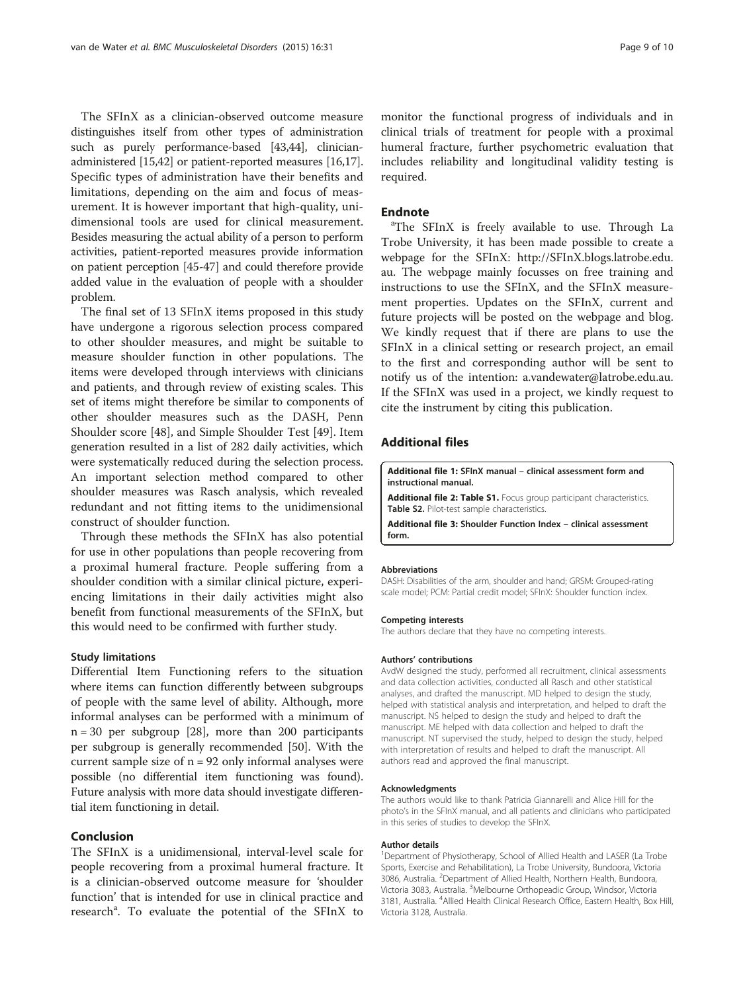<span id="page-8-0"></span>The SFInX as a clinician-observed outcome measure distinguishes itself from other types of administration such as purely performance-based [\[43,44\]](#page-9-0), clinicianadministered [\[15,42\]](#page-9-0) or patient-reported measures [\[16,17](#page-9-0)]. Specific types of administration have their benefits and limitations, depending on the aim and focus of measurement. It is however important that high-quality, unidimensional tools are used for clinical measurement. Besides measuring the actual ability of a person to perform activities, patient-reported measures provide information on patient perception [\[45](#page-9-0)-[47](#page-9-0)] and could therefore provide added value in the evaluation of people with a shoulder problem.

The final set of 13 SFInX items proposed in this study have undergone a rigorous selection process compared to other shoulder measures, and might be suitable to measure shoulder function in other populations. The items were developed through interviews with clinicians and patients, and through review of existing scales. This set of items might therefore be similar to components of other shoulder measures such as the DASH, Penn Shoulder score [[48](#page-9-0)], and Simple Shoulder Test [[49](#page-9-0)]. Item generation resulted in a list of 282 daily activities, which were systematically reduced during the selection process. An important selection method compared to other shoulder measures was Rasch analysis, which revealed redundant and not fitting items to the unidimensional construct of shoulder function.

Through these methods the SFInX has also potential for use in other populations than people recovering from a proximal humeral fracture. People suffering from a shoulder condition with a similar clinical picture, experiencing limitations in their daily activities might also benefit from functional measurements of the SFInX, but this would need to be confirmed with further study.

#### Study limitations

Differential Item Functioning refers to the situation where items can function differently between subgroups of people with the same level of ability. Although, more informal analyses can be performed with a minimum of n = 30 per subgroup [[28\]](#page-9-0), more than 200 participants per subgroup is generally recommended [\[50](#page-9-0)]. With the current sample size of  $n = 92$  only informal analyses were possible (no differential item functioning was found). Future analysis with more data should investigate differential item functioning in detail.

#### Conclusion

The SFInX is a unidimensional, interval-level scale for people recovering from a proximal humeral fracture. It is a clinician-observed outcome measure for 'shoulder function' that is intended for use in clinical practice and research<sup>a</sup>. To evaluate the potential of the SFInX to

monitor the functional progress of individuals and in clinical trials of treatment for people with a proximal humeral fracture, further psychometric evaluation that includes reliability and longitudinal validity testing is required.

#### **Endnote**

<sup>a</sup>The SFInX is freely available to use. Through La Trobe University, it has been made possible to create a webpage for the SFInX: [http://SFInX.blogs.latrobe.edu.](http://sfinx.blogs.latrobe.edu.au/) [au](http://sfinx.blogs.latrobe.edu.au/). The webpage mainly focusses on free training and instructions to use the SFInX, and the SFInX measurement properties. Updates on the SFInX, current and future projects will be posted on the webpage and blog. We kindly request that if there are plans to use the SFInX in a clinical setting or research project, an email to the first and corresponding author will be sent to notify us of the intention: a.vandewater@latrobe.edu.au. If the SFInX was used in a project, we kindly request to cite the instrument by citing this publication.

### Additional files

[Additional file 1:](http://www.biomedcentral.com/content/supplementary/s12891-015-0481-x-s1.pdf) SFInX manual – clinical assessment form and instructional manual.

[Additional file 2: Table S1.](http://www.biomedcentral.com/content/supplementary/s12891-015-0481-x-s2.pdf) Focus group participant characteristics. Table S2. Pilot-test sample characteristics.

[Additional file 3:](http://www.biomedcentral.com/content/supplementary/s12891-015-0481-x-s3.pdf) Shoulder Function Index – clinical assessment form.

#### Abbreviations

DASH: Disabilities of the arm, shoulder and hand; GRSM: Grouped-rating scale model; PCM: Partial credit model; SFInX: Shoulder function index.

#### Competing interests

The authors declare that they have no competing interests.

#### Authors' contributions

AvdW designed the study, performed all recruitment, clinical assessments and data collection activities, conducted all Rasch and other statistical analyses, and drafted the manuscript. MD helped to design the study, helped with statistical analysis and interpretation, and helped to draft the manuscript. NS helped to design the study and helped to draft the manuscript. ME helped with data collection and helped to draft the manuscript. NT supervised the study, helped to design the study, helped with interpretation of results and helped to draft the manuscript. All authors read and approved the final manuscript.

#### Acknowledgments

The authors would like to thank Patricia Giannarelli and Alice Hill for the photo's in the SFInX manual, and all patients and clinicians who participated in this series of studies to develop the SFInX.

#### Author details

<sup>1</sup>Department of Physiotherapy, School of Allied Health and LASER (La Trobe Sports, Exercise and Rehabilitation), La Trobe University, Bundoora, Victoria 3086, Australia. <sup>2</sup>Department of Allied Health, Northern Health, Bundoora, Victoria 3083, Australia. <sup>3</sup>Melbourne Orthopeadic Group, Windsor, Victoria 3181, Australia. <sup>4</sup> Allied Health Clinical Research Office, Eastern Health, Box Hill Victoria 3128, Australia.